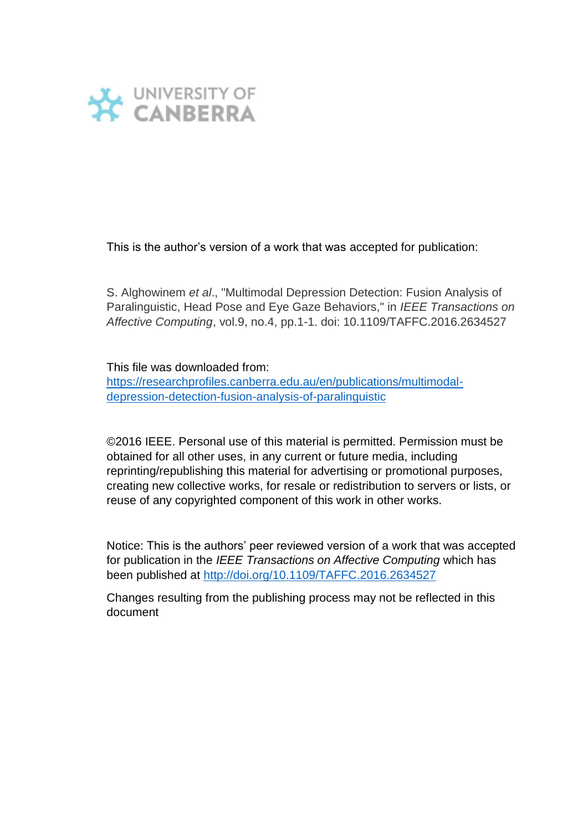

This is the author's version of a work that was accepted for publication:

S. Alghowinem *et al*., "Multimodal Depression Detection: Fusion Analysis of Paralinguistic, Head Pose and Eye Gaze Behaviors," in *IEEE Transactions on Affective Computing*, vol.9, no.4, pp.1-1. doi: 10.1109/TAFFC.2016.2634527

This file was downloaded from:

[https://researchprofiles.canberra.edu.au/en/publications/multimodal](https://researchprofiles.canberra.edu.au/en/publications/multimodal-depression-detection-fusion-analysis-of-paralinguistic)[depression-detection-fusion-analysis-of-paralinguistic](https://researchprofiles.canberra.edu.au/en/publications/multimodal-depression-detection-fusion-analysis-of-paralinguistic)

©2016 IEEE. Personal use of this material is permitted. Permission must be obtained for all other uses, in any current or future media, including reprinting/republishing this material for advertising or promotional purposes, creating new collective works, for resale or redistribution to servers or lists, or reuse of any copyrighted component of this work in other works.

Notice: This is the authors' peer reviewed version of a work that was accepted for publication in the *IEEE Transactions on Affective Computing* which has been published at<http://doi.org/10.1109/TAFFC.2016.2634527>

Changes resulting from the publishing process may not be reflected in this document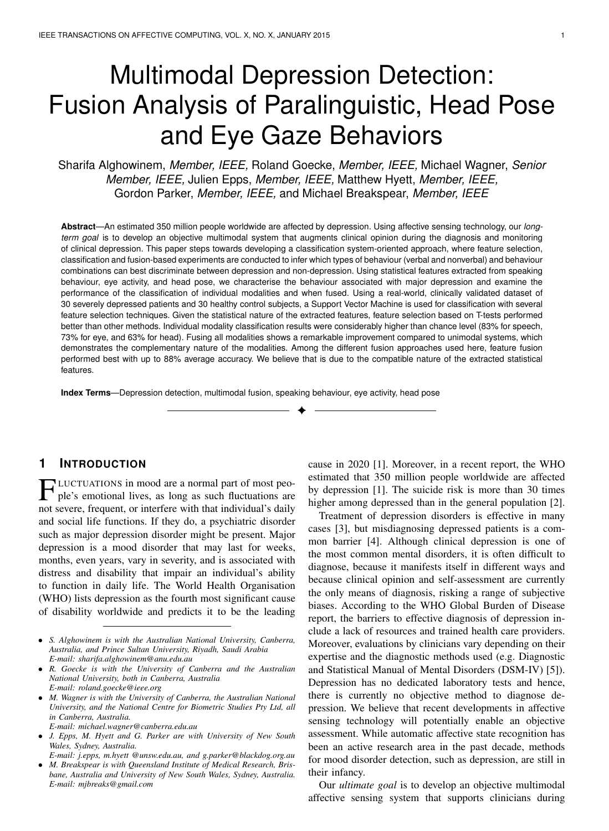# Multimodal Depression Detection: Fusion Analysis of Paralinguistic, Head Pose and Eye Gaze Behaviors

Sharifa Alghowinem, *Member, IEEE,* Roland Goecke, *Member, IEEE,* Michael Wagner, *Senior Member, IEEE,* Julien Epps, *Member, IEEE,* Matthew Hyett, *Member, IEEE,* Gordon Parker, *Member, IEEE,* and Michael Breakspear, *Member, IEEE*

**Abstract**—An estimated 350 million people worldwide are affected by depression. Using affective sensing technology, our *longterm goal* is to develop an objective multimodal system that augments clinical opinion during the diagnosis and monitoring of clinical depression. This paper steps towards developing a classification system-oriented approach, where feature selection, classification and fusion-based experiments are conducted to infer which types of behaviour (verbal and nonverbal) and behaviour combinations can best discriminate between depression and non-depression. Using statistical features extracted from speaking behaviour, eye activity, and head pose, we characterise the behaviour associated with major depression and examine the performance of the classification of individual modalities and when fused. Using a real-world, clinically validated dataset of 30 severely depressed patients and 30 healthy control subjects, a Support Vector Machine is used for classification with several feature selection techniques. Given the statistical nature of the extracted features, feature selection based on T-tests performed better than other methods. Individual modality classification results were considerably higher than chance level (83% for speech, 73% for eye, and 63% for head). Fusing all modalities shows a remarkable improvement compared to unimodal systems, which demonstrates the complementary nature of the modalities. Among the different fusion approaches used here, feature fusion performed best with up to 88% average accuracy. We believe that is due to the compatible nature of the extracted statistical features.

✦

**Index Terms**—Depression detection, multimodal fusion, speaking behaviour, eye activity, head pose

# **1 INTRODUCTION**

**FLUCTUATIONS** in mood are a normal part of most people's emotional lives, as long as such fluctuations are not severe, frequent, or interfere with that individual's daily LUCTUATIONS in mood are a normal part of most people's emotional lives, as long as such fluctuations are and social life functions. If they do, a psychiatric disorder such as major depression disorder might be present. Major depression is a mood disorder that may last for weeks, months, even years, vary in severity, and is associated with distress and disability that impair an individual's ability to function in daily life. The World Health Organisation (WHO) lists depression as the fourth most significant cause of disability worldwide and predicts it to be the leading cause in 2020 [1]. Moreover, in a recent report, the WHO estimated that 350 million people worldwide are affected by depression [1]. The suicide risk is more than 30 times higher among depressed than in the general population [2].

Treatment of depression disorders is effective in many cases [3], but misdiagnosing depressed patients is a common barrier [4]. Although clinical depression is one of the most common mental disorders, it is often difficult to diagnose, because it manifests itself in different ways and because clinical opinion and self-assessment are currently the only means of diagnosis, risking a range of subjective biases. According to the WHO Global Burden of Disease report, the barriers to effective diagnosis of depression include a lack of resources and trained health care providers. Moreover, evaluations by clinicians vary depending on their expertise and the diagnostic methods used (e.g. Diagnostic and Statistical Manual of Mental Disorders (DSM-IV) [5]). Depression has no dedicated laboratory tests and hence, there is currently no objective method to diagnose depression. We believe that recent developments in affective sensing technology will potentially enable an objective assessment. While automatic affective state recognition has been an active research area in the past decade, methods for mood disorder detection, such as depression, are still in their infancy.

Our *ultimate goal* is to develop an objective multimodal affective sensing system that supports clinicians during

<sup>•</sup> *S. Alghowinem is with the Australian National University, Canberra, Australia, and Prince Sultan University, Riyadh, Saudi Arabia E-mail: sharifa.alghowinem@anu.edu.au*

<sup>•</sup> *R. Goecke is with the University of Canberra and the Australian National University, both in Canberra, Australia E-mail: roland.goecke@ieee.org*

<sup>•</sup> *M. Wagner is with the University of Canberra, the Australian National University, and the National Centre for Biometric Studies Pty Ltd, all in Canberra, Australia.*

*E-mail: michael.wagner@canberra.edu.au*

<sup>•</sup> *J. Epps, M. Hyett and G. Parker are with University of New South Wales, Sydney, Australia.*

*E-mail: j.epps, m.hyett @unsw.edu.au, and g.parker@blackdog.org.au* • *M. Breakspear is with Queensland Institute of Medical Research, Brisbane, Australia and University of New South Wales, Sydney, Australia. E-mail: mjbreaks@gmail.com*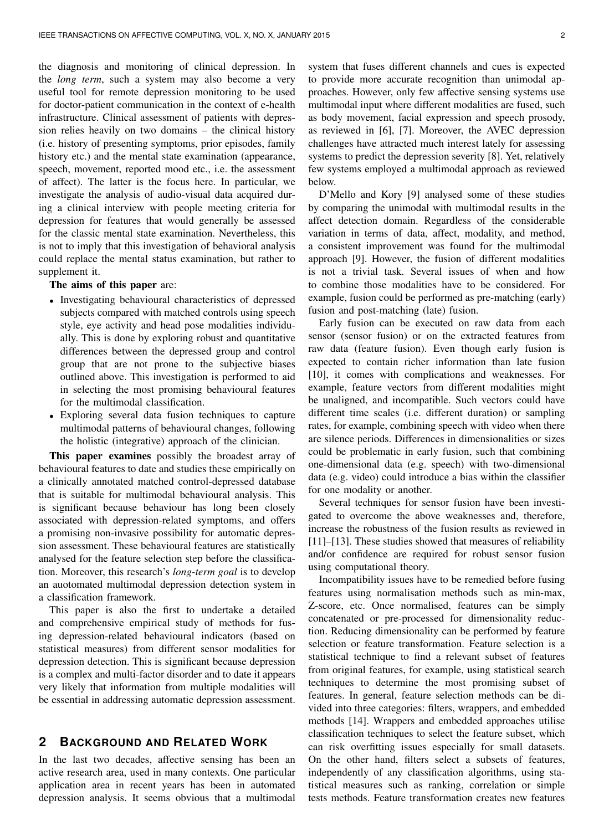the diagnosis and monitoring of clinical depression. In the *long term*, such a system may also become a very useful tool for remote depression monitoring to be used for doctor-patient communication in the context of e-health infrastructure. Clinical assessment of patients with depression relies heavily on two domains – the clinical history (i.e. history of presenting symptoms, prior episodes, family history etc.) and the mental state examination (appearance, speech, movement, reported mood etc., i.e. the assessment of affect). The latter is the focus here. In particular, we investigate the analysis of audio-visual data acquired during a clinical interview with people meeting criteria for depression for features that would generally be assessed for the classic mental state examination. Nevertheless, this is not to imply that this investigation of behavioral analysis could replace the mental status examination, but rather to supplement it.

#### The aims of this paper are:

- Investigating behavioural characteristics of depressed subjects compared with matched controls using speech style, eye activity and head pose modalities individually. This is done by exploring robust and quantitative differences between the depressed group and control group that are not prone to the subjective biases outlined above. This investigation is performed to aid in selecting the most promising behavioural features for the multimodal classification.
- Exploring several data fusion techniques to capture multimodal patterns of behavioural changes, following the holistic (integrative) approach of the clinician.

This paper examines possibly the broadest array of behavioural features to date and studies these empirically on a clinically annotated matched control-depressed database that is suitable for multimodal behavioural analysis. This is significant because behaviour has long been closely associated with depression-related symptoms, and offers a promising non-invasive possibility for automatic depression assessment. These behavioural features are statistically analysed for the feature selection step before the classification. Moreover, this research's *long-term goal* is to develop an auotomated multimodal depression detection system in a classification framework.

This paper is also the first to undertake a detailed and comprehensive empirical study of methods for fusing depression-related behavioural indicators (based on statistical measures) from different sensor modalities for depression detection. This is significant because depression is a complex and multi-factor disorder and to date it appears very likely that information from multiple modalities will be essential in addressing automatic depression assessment.

# **2 BACKGROUND AND RELATED WORK**

In the last two decades, affective sensing has been an active research area, used in many contexts. One particular application area in recent years has been in automated depression analysis. It seems obvious that a multimodal system that fuses different channels and cues is expected to provide more accurate recognition than unimodal approaches. However, only few affective sensing systems use multimodal input where different modalities are fused, such as body movement, facial expression and speech prosody, as reviewed in [6], [7]. Moreover, the AVEC depression challenges have attracted much interest lately for assessing systems to predict the depression severity [8]. Yet, relatively few systems employed a multimodal approach as reviewed below.

D'Mello and Kory [9] analysed some of these studies by comparing the unimodal with multimodal results in the affect detection domain. Regardless of the considerable variation in terms of data, affect, modality, and method, a consistent improvement was found for the multimodal approach [9]. However, the fusion of different modalities is not a trivial task. Several issues of when and how to combine those modalities have to be considered. For example, fusion could be performed as pre-matching (early) fusion and post-matching (late) fusion.

Early fusion can be executed on raw data from each sensor (sensor fusion) or on the extracted features from raw data (feature fusion). Even though early fusion is expected to contain richer information than late fusion [10], it comes with complications and weaknesses. For example, feature vectors from different modalities might be unaligned, and incompatible. Such vectors could have different time scales (i.e. different duration) or sampling rates, for example, combining speech with video when there are silence periods. Differences in dimensionalities or sizes could be problematic in early fusion, such that combining one-dimensional data (e.g. speech) with two-dimensional data (e.g. video) could introduce a bias within the classifier for one modality or another.

Several techniques for sensor fusion have been investigated to overcome the above weaknesses and, therefore, increase the robustness of the fusion results as reviewed in [11]–[13]. These studies showed that measures of reliability and/or confidence are required for robust sensor fusion using computational theory.

Incompatibility issues have to be remedied before fusing features using normalisation methods such as min-max, Z-score, etc. Once normalised, features can be simply concatenated or pre-processed for dimensionality reduction. Reducing dimensionality can be performed by feature selection or feature transformation. Feature selection is a statistical technique to find a relevant subset of features from original features, for example, using statistical search techniques to determine the most promising subset of features. In general, feature selection methods can be divided into three categories: filters, wrappers, and embedded methods [14]. Wrappers and embedded approaches utilise classification techniques to select the feature subset, which can risk overfitting issues especially for small datasets. On the other hand, filters select a subsets of features, independently of any classification algorithms, using statistical measures such as ranking, correlation or simple tests methods. Feature transformation creates new features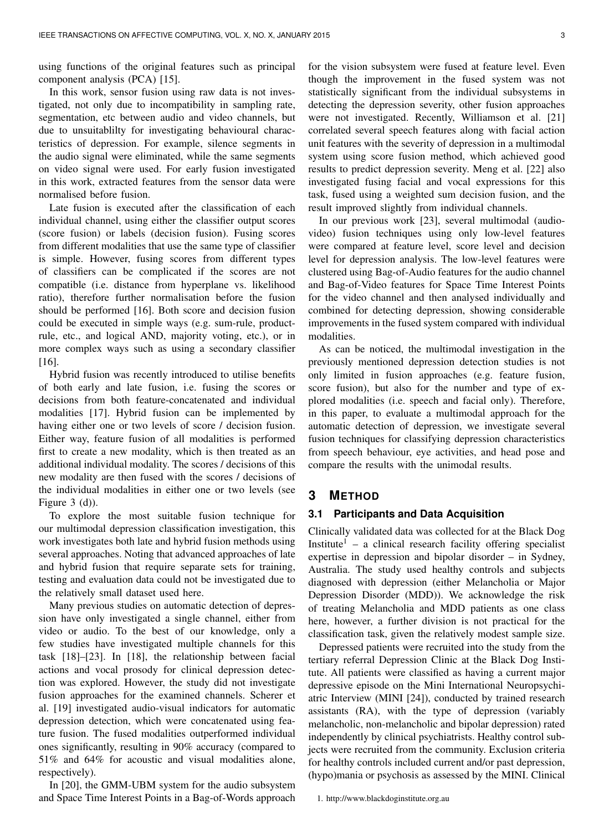using functions of the original features such as principal component analysis (PCA) [15].

In this work, sensor fusion using raw data is not investigated, not only due to incompatibility in sampling rate, segmentation, etc between audio and video channels, but due to unsuitablilty for investigating behavioural characteristics of depression. For example, silence segments in the audio signal were eliminated, while the same segments on video signal were used. For early fusion investigated in this work, extracted features from the sensor data were normalised before fusion.

Late fusion is executed after the classification of each individual channel, using either the classifier output scores (score fusion) or labels (decision fusion). Fusing scores from different modalities that use the same type of classifier is simple. However, fusing scores from different types of classifiers can be complicated if the scores are not compatible (i.e. distance from hyperplane vs. likelihood ratio), therefore further normalisation before the fusion should be performed [16]. Both score and decision fusion could be executed in simple ways (e.g. sum-rule, productrule, etc., and logical AND, majority voting, etc.), or in more complex ways such as using a secondary classifier [16].

Hybrid fusion was recently introduced to utilise benefits of both early and late fusion, i.e. fusing the scores or decisions from both feature-concatenated and individual modalities [17]. Hybrid fusion can be implemented by having either one or two levels of score / decision fusion. Either way, feature fusion of all modalities is performed first to create a new modality, which is then treated as an additional individual modality. The scores / decisions of this new modality are then fused with the scores / decisions of the individual modalities in either one or two levels (see Figure 3 (d)).

To explore the most suitable fusion technique for our multimodal depression classification investigation, this work investigates both late and hybrid fusion methods using several approaches. Noting that advanced approaches of late and hybrid fusion that require separate sets for training, testing and evaluation data could not be investigated due to the relatively small dataset used here.

Many previous studies on automatic detection of depression have only investigated a single channel, either from video or audio. To the best of our knowledge, only a few studies have investigated multiple channels for this task [18]–[23]. In [18], the relationship between facial actions and vocal prosody for clinical depression detection was explored. However, the study did not investigate fusion approaches for the examined channels. Scherer et al. [19] investigated audio-visual indicators for automatic depression detection, which were concatenated using feature fusion. The fused modalities outperformed individual ones significantly, resulting in 90% accuracy (compared to 51% and 64% for acoustic and visual modalities alone, respectively).

In [20], the GMM-UBM system for the audio subsystem and Space Time Interest Points in a Bag-of-Words approach for the vision subsystem were fused at feature level. Even though the improvement in the fused system was not statistically significant from the individual subsystems in detecting the depression severity, other fusion approaches were not investigated. Recently, Williamson et al. [21] correlated several speech features along with facial action unit features with the severity of depression in a multimodal system using score fusion method, which achieved good results to predict depression severity. Meng et al. [22] also investigated fusing facial and vocal expressions for this task, fused using a weighted sum decision fusion, and the result improved slightly from individual channels.

In our previous work [23], several multimodal (audiovideo) fusion techniques using only low-level features were compared at feature level, score level and decision level for depression analysis. The low-level features were clustered using Bag-of-Audio features for the audio channel and Bag-of-Video features for Space Time Interest Points for the video channel and then analysed individually and combined for detecting depression, showing considerable improvements in the fused system compared with individual modalities.

As can be noticed, the multimodal investigation in the previously mentioned depression detection studies is not only limited in fusion approaches (e.g. feature fusion, score fusion), but also for the number and type of explored modalities (i.e. speech and facial only). Therefore, in this paper, to evaluate a multimodal approach for the automatic detection of depression, we investigate several fusion techniques for classifying depression characteristics from speech behaviour, eye activities, and head pose and compare the results with the unimodal results.

## **3 METHOD**

#### **3.1 Participants and Data Acquisition**

Clinically validated data was collected for at the Black Dog Institute<sup>1</sup> – a clinical research facility offering specialist expertise in depression and bipolar disorder – in Sydney, Australia. The study used healthy controls and subjects diagnosed with depression (either Melancholia or Major Depression Disorder (MDD)). We acknowledge the risk of treating Melancholia and MDD patients as one class here, however, a further division is not practical for the classification task, given the relatively modest sample size.

Depressed patients were recruited into the study from the tertiary referral Depression Clinic at the Black Dog Institute. All patients were classified as having a current major depressive episode on the Mini International Neuropsychiatric Interview (MINI [24]), conducted by trained research assistants (RA), with the type of depression (variably melancholic, non-melancholic and bipolar depression) rated independently by clinical psychiatrists. Healthy control subjects were recruited from the community. Exclusion criteria for healthy controls included current and/or past depression, (hypo)mania or psychosis as assessed by the MINI. Clinical

1. http://www.blackdoginstitute.org.au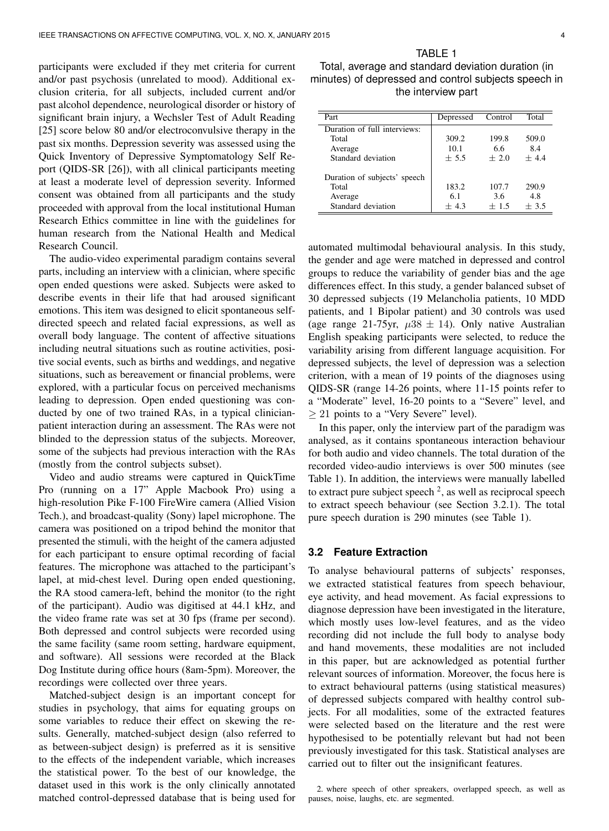participants were excluded if they met criteria for current and/or past psychosis (unrelated to mood). Additional exclusion criteria, for all subjects, included current and/or past alcohol dependence, neurological disorder or history of significant brain injury, a Wechsler Test of Adult Reading [25] score below 80 and/or electroconvulsive therapy in the past six months. Depression severity was assessed using the Quick Inventory of Depressive Symptomatology Self Report (QIDS-SR [26]), with all clinical participants meeting at least a moderate level of depression severity. Informed consent was obtained from all participants and the study proceeded with approval from the local institutional Human Research Ethics committee in line with the guidelines for human research from the National Health and Medical Research Council.

The audio-video experimental paradigm contains several parts, including an interview with a clinician, where specific open ended questions were asked. Subjects were asked to describe events in their life that had aroused significant emotions. This item was designed to elicit spontaneous selfdirected speech and related facial expressions, as well as overall body language. The content of affective situations including neutral situations such as routine activities, positive social events, such as births and weddings, and negative situations, such as bereavement or financial problems, were explored, with a particular focus on perceived mechanisms leading to depression. Open ended questioning was conducted by one of two trained RAs, in a typical clinicianpatient interaction during an assessment. The RAs were not blinded to the depression status of the subjects. Moreover, some of the subjects had previous interaction with the RAs (mostly from the control subjects subset).

Video and audio streams were captured in QuickTime Pro (running on a 17" Apple Macbook Pro) using a high-resolution Pike F-100 FireWire camera (Allied Vision Tech.), and broadcast-quality (Sony) lapel microphone. The camera was positioned on a tripod behind the monitor that presented the stimuli, with the height of the camera adjusted for each participant to ensure optimal recording of facial features. The microphone was attached to the participant's lapel, at mid-chest level. During open ended questioning, the RA stood camera-left, behind the monitor (to the right of the participant). Audio was digitised at 44.1 kHz, and the video frame rate was set at 30 fps (frame per second). Both depressed and control subjects were recorded using the same facility (same room setting, hardware equipment, and software). All sessions were recorded at the Black Dog Institute during office hours (8am-5pm). Moreover, the recordings were collected over three years.

Matched-subject design is an important concept for studies in psychology, that aims for equating groups on some variables to reduce their effect on skewing the results. Generally, matched-subject design (also referred to as between-subject design) is preferred as it is sensitive to the effects of the independent variable, which increases the statistical power. To the best of our knowledge, the dataset used in this work is the only clinically annotated matched control-depressed database that is being used for

Total, average and standard deviation duration (in minutes) of depressed and control subjects speech in the interview part

TABLE 1

| Part                         | Depressed | Control | Total  |
|------------------------------|-----------|---------|--------|
| Duration of full interviews: |           |         |        |
| Total                        | 309.2     | 199.8   | 509.0  |
| Average                      | 10.1      | 6.6     | 8.4    |
| Standard deviation           | $+5.5$    | $+2.0$  | $+44$  |
| Duration of subjects' speech |           |         |        |
| Total                        | 183.2     | 107.7   | 290.9  |
| Average                      | 6.1       | 3.6     | 4.8    |
| Standard deviation           | $+4.3$    | $+1.5$  | $+3.5$ |

automated multimodal behavioural analysis. In this study, the gender and age were matched in depressed and control groups to reduce the variability of gender bias and the age differences effect. In this study, a gender balanced subset of 30 depressed subjects (19 Melancholia patients, 10 MDD patients, and 1 Bipolar patient) and 30 controls was used (age range 21-75yr,  $\mu 38 \pm 14$ ). Only native Australian English speaking participants were selected, to reduce the variability arising from different language acquisition. For depressed subjects, the level of depression was a selection criterion, with a mean of 19 points of the diagnoses using QIDS-SR (range 14-26 points, where 11-15 points refer to a "Moderate" level, 16-20 points to a "Severe" level, and  $\geq$  21 points to a "Very Severe" level).

In this paper, only the interview part of the paradigm was analysed, as it contains spontaneous interaction behaviour for both audio and video channels. The total duration of the recorded video-audio interviews is over 500 minutes (see Table 1). In addition, the interviews were manually labelled to extract pure subject speech  $2$ , as well as reciprocal speech to extract speech behaviour (see Section 3.2.1). The total pure speech duration is 290 minutes (see Table 1).

#### **3.2 Feature Extraction**

To analyse behavioural patterns of subjects' responses, we extracted statistical features from speech behaviour, eye activity, and head movement. As facial expressions to diagnose depression have been investigated in the literature, which mostly uses low-level features, and as the video recording did not include the full body to analyse body and hand movements, these modalities are not included in this paper, but are acknowledged as potential further relevant sources of information. Moreover, the focus here is to extract behavioural patterns (using statistical measures) of depressed subjects compared with healthy control subjects. For all modalities, some of the extracted features were selected based on the literature and the rest were hypothesised to be potentially relevant but had not been previously investigated for this task. Statistical analyses are carried out to filter out the insignificant features.

2. where speech of other spreakers, overlapped speech, as well as pauses, noise, laughs, etc. are segmented.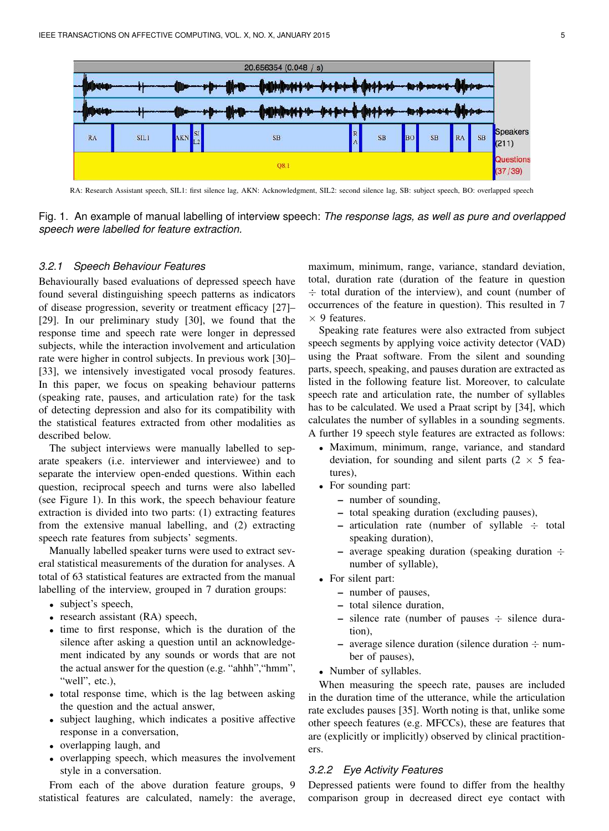

RA: Research Assistant speech, SIL1: first silence lag, AKN: Acknowledgment, SIL2: second silence lag, SB: subject speech, BO: overlapped speech

Fig. 1. An example of manual labelling of interview speech: *The response lags, as well as pure and overlapped speech were labelled for feature extraction.*

#### *3.2.1 Speech Behaviour Features*

Behaviourally based evaluations of depressed speech have found several distinguishing speech patterns as indicators of disease progression, severity or treatment efficacy [27]– [29]. In our preliminary study [30], we found that the response time and speech rate were longer in depressed subjects, while the interaction involvement and articulation rate were higher in control subjects. In previous work [30]– [33], we intensively investigated vocal prosody features. In this paper, we focus on speaking behaviour patterns (speaking rate, pauses, and articulation rate) for the task of detecting depression and also for its compatibility with the statistical features extracted from other modalities as described below.

The subject interviews were manually labelled to separate speakers (i.e. interviewer and interviewee) and to separate the interview open-ended questions. Within each question, reciprocal speech and turns were also labelled (see Figure 1). In this work, the speech behaviour feature extraction is divided into two parts: (1) extracting features from the extensive manual labelling, and (2) extracting speech rate features from subjects' segments.

Manually labelled speaker turns were used to extract several statistical measurements of the duration for analyses. A total of 63 statistical features are extracted from the manual labelling of the interview, grouped in 7 duration groups:

- subject's speech,
- research assistant (RA) speech,
- time to first response, which is the duration of the silence after asking a question until an acknowledgement indicated by any sounds or words that are not the actual answer for the question (e.g. "ahhh", "hmm", "well", etc.),
- total response time, which is the lag between asking the question and the actual answer,
- subject laughing, which indicates a positive affective response in a conversation,
- overlapping laugh, and
- overlapping speech, which measures the involvement style in a conversation.

From each of the above duration feature groups, 9 statistical features are calculated, namely: the average,

maximum, minimum, range, variance, standard deviation, total, duration rate (duration of the feature in question  $\div$  total duration of the interview), and count (number of occurrences of the feature in question). This resulted in 7  $\times$  9 features.

Speaking rate features were also extracted from subject speech segments by applying voice activity detector (VAD) using the Praat software. From the silent and sounding parts, speech, speaking, and pauses duration are extracted as listed in the following feature list. Moreover, to calculate speech rate and articulation rate, the number of syllables has to be calculated. We used a Praat script by [34], which calculates the number of syllables in a sounding segments. A further 19 speech style features are extracted as follows:

- Maximum, minimum, range, variance, and standard deviation, for sounding and silent parts ( $2 \times 5$  features),
- For sounding part:
	- number of sounding,
	- total speaking duration (excluding pauses),
	- $-$  articulation rate (number of syllable  $\div$  total speaking duration),
	- average speaking duration (speaking duration  $\div$ number of syllable),
- For silent part:
	- number of pauses,
	- total silence duration,
	- $-$  silence rate (number of pauses  $\div$  silence duration),
	- average silence duration (silence duration  $\div$  number of pauses),
- Number of syllables.

When measuring the speech rate, pauses are included in the duration time of the utterance, while the articulation rate excludes pauses [35]. Worth noting is that, unlike some other speech features (e.g. MFCCs), these are features that are (explicitly or implicitly) observed by clinical practitioners.

#### *3.2.2 Eye Activity Features*

Depressed patients were found to differ from the healthy comparison group in decreased direct eye contact with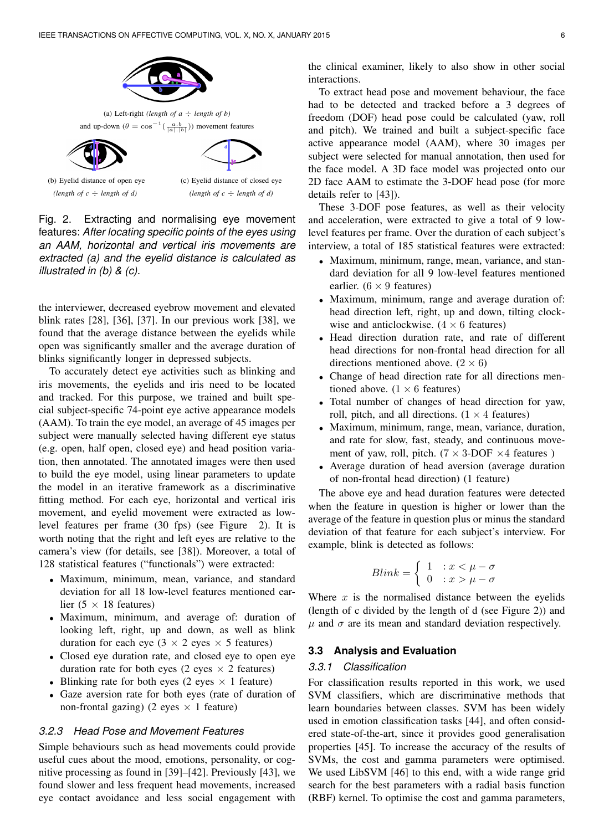

Fig. 2. Extracting and normalising eye movement features: *After locating specific points of the eyes using an AAM, horizontal and vertical iris movements are extracted (a) and the eyelid distance is calculated as illustrated in (b) & (c).*

the interviewer, decreased eyebrow movement and elevated blink rates [28], [36], [37]. In our previous work [38], we found that the average distance between the eyelids while open was significantly smaller and the average duration of blinks significantly longer in depressed subjects.

To accurately detect eye activities such as blinking and iris movements, the eyelids and iris need to be located and tracked. For this purpose, we trained and built special subject-specific 74-point eye active appearance models (AAM). To train the eye model, an average of 45 images per subject were manually selected having different eye status (e.g. open, half open, closed eye) and head position variation, then annotated. The annotated images were then used to build the eye model, using linear parameters to update the model in an iterative framework as a discriminative fitting method. For each eye, horizontal and vertical iris movement, and eyelid movement were extracted as lowlevel features per frame (30 fps) (see Figure 2). It is worth noting that the right and left eyes are relative to the camera's view (for details, see [38]). Moreover, a total of 128 statistical features ("functionals") were extracted:

- Maximum, minimum, mean, variance, and standard deviation for all 18 low-level features mentioned earlier (5  $\times$  18 features)
- Maximum, minimum, and average of: duration of looking left, right, up and down, as well as blink duration for each eye ( $3 \times 2$  eyes  $\times 5$  features)
- Closed eye duration rate, and closed eye to open eye duration rate for both eyes (2 eyes  $\times$  2 features)
- Blinking rate for both eyes (2 eyes  $\times$  1 feature)
- Gaze aversion rate for both eyes (rate of duration of non-frontal gazing) (2 eyes  $\times$  1 feature)

#### *3.2.3 Head Pose and Movement Features*

Simple behaviours such as head movements could provide useful cues about the mood, emotions, personality, or cognitive processing as found in [39]–[42]. Previously [43], we found slower and less frequent head movements, increased eye contact avoidance and less social engagement with the clinical examiner, likely to also show in other social interactions.

To extract head pose and movement behaviour, the face had to be detected and tracked before a 3 degrees of freedom (DOF) head pose could be calculated (yaw, roll and pitch). We trained and built a subject-specific face active appearance model (AAM), where 30 images per subject were selected for manual annotation, then used for the face model. A 3D face model was projected onto our 2D face AAM to estimate the 3-DOF head pose (for more details refer to [43]).

These 3-DOF pose features, as well as their velocity and acceleration, were extracted to give a total of 9 lowlevel features per frame. Over the duration of each subject's interview, a total of 185 statistical features were extracted:

- Maximum, minimum, range, mean, variance, and standard deviation for all 9 low-level features mentioned earlier.  $(6 \times 9$  features)
- Maximum, minimum, range and average duration of: head direction left, right, up and down, tilting clockwise and anticlockwise.  $(4 \times 6$  features)
- Head direction duration rate, and rate of different head directions for non-frontal head direction for all directions mentioned above.  $(2 \times 6)$
- Change of head direction rate for all directions mentioned above.  $(1 \times 6$  features)
- Total number of changes of head direction for yaw, roll, pitch, and all directions.  $(1 \times 4$  features)
- Maximum, minimum, range, mean, variance, duration, and rate for slow, fast, steady, and continuous movement of yaw, roll, pitch. ( $7 \times 3$ -DOF  $\times 4$  features)
- Average duration of head aversion (average duration of non-frontal head direction) (1 feature)

The above eye and head duration features were detected when the feature in question is higher or lower than the average of the feature in question plus or minus the standard deviation of that feature for each subject's interview. For example, blink is detected as follows:

$$
Blink = \begin{cases} 1 & \text{: } x < \mu - \sigma \\ 0 & \text{: } x > \mu - \sigma \end{cases}
$$

Where  $x$  is the normalised distance between the eyelids (length of c divided by the length of d (see Figure 2)) and  $\mu$  and  $\sigma$  are its mean and standard deviation respectively.

#### **3.3 Analysis and Evaluation**

#### *3.3.1 Classification*

For classification results reported in this work, we used SVM classifiers, which are discriminative methods that learn boundaries between classes. SVM has been widely used in emotion classification tasks [44], and often considered state-of-the-art, since it provides good generalisation properties [45]. To increase the accuracy of the results of SVMs, the cost and gamma parameters were optimised. We used LibSVM [46] to this end, with a wide range grid search for the best parameters with a radial basis function (RBF) kernel. To optimise the cost and gamma parameters,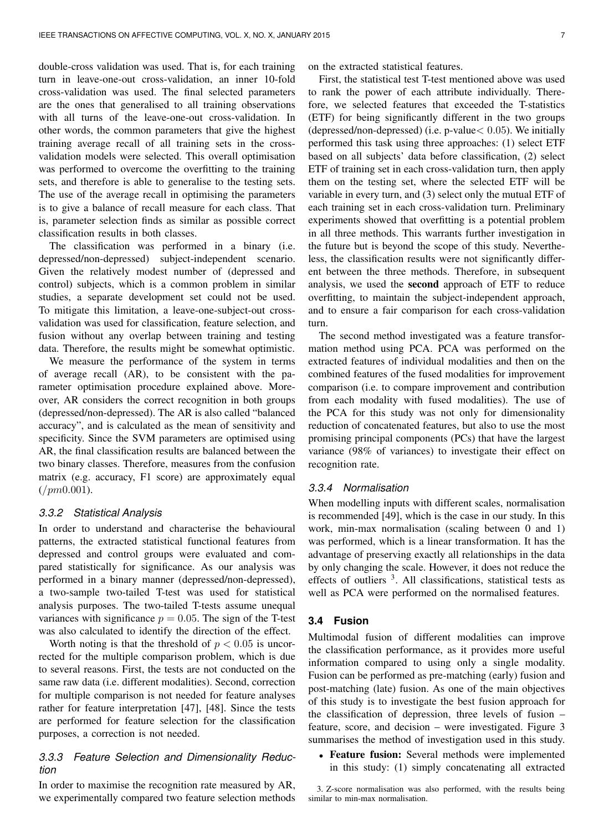double-cross validation was used. That is, for each training turn in leave-one-out cross-validation, an inner 10-fold cross-validation was used. The final selected parameters are the ones that generalised to all training observations with all turns of the leave-one-out cross-validation. In other words, the common parameters that give the highest training average recall of all training sets in the crossvalidation models were selected. This overall optimisation was performed to overcome the overfitting to the training sets, and therefore is able to generalise to the testing sets. The use of the average recall in optimising the parameters is to give a balance of recall measure for each class. That is, parameter selection finds as similar as possible correct classification results in both classes.

The classification was performed in a binary (i.e. depressed/non-depressed) subject-independent scenario. Given the relatively modest number of (depressed and control) subjects, which is a common problem in similar studies, a separate development set could not be used. To mitigate this limitation, a leave-one-subject-out crossvalidation was used for classification, feature selection, and fusion without any overlap between training and testing data. Therefore, the results might be somewhat optimistic.

We measure the performance of the system in terms of average recall (AR), to be consistent with the parameter optimisation procedure explained above. Moreover, AR considers the correct recognition in both groups (depressed/non-depressed). The AR is also called "balanced accuracy", and is calculated as the mean of sensitivity and specificity. Since the SVM parameters are optimised using AR, the final classification results are balanced between the two binary classes. Therefore, measures from the confusion matrix (e.g. accuracy, F1 score) are approximately equal  $\frac{1}{2}$ (/pm0.001).

#### *3.3.2 Statistical Analysis*

In order to understand and characterise the behavioural patterns, the extracted statistical functional features from depressed and control groups were evaluated and compared statistically for significance. As our analysis was performed in a binary manner (depressed/non-depressed), a two-sample two-tailed T-test was used for statistical analysis purposes. The two-tailed T-tests assume unequal variances with significance  $p = 0.05$ . The sign of the T-test was also calculated to identify the direction of the effect.

Worth noting is that the threshold of  $p < 0.05$  is uncorrected for the multiple comparison problem, which is due to several reasons. First, the tests are not conducted on the same raw data (i.e. different modalities). Second, correction for multiple comparison is not needed for feature analyses rather for feature interpretation [47], [48]. Since the tests are performed for feature selection for the classification purposes, a correction is not needed.

## *3.3.3 Feature Selection and Dimensionality Reduction*

In order to maximise the recognition rate measured by AR, we experimentally compared two feature selection methods on the extracted statistical features.

First, the statistical test T-test mentioned above was used to rank the power of each attribute individually. Therefore, we selected features that exceeded the T-statistics (ETF) for being significantly different in the two groups (depressed/non-depressed) (i.e.  $p$ -value $< 0.05$ ). We initially performed this task using three approaches: (1) select ETF based on all subjects' data before classification, (2) select ETF of training set in each cross-validation turn, then apply them on the testing set, where the selected ETF will be variable in every turn, and (3) select only the mutual ETF of each training set in each cross-validation turn. Preliminary experiments showed that overfitting is a potential problem in all three methods. This warrants further investigation in the future but is beyond the scope of this study. Nevertheless, the classification results were not significantly different between the three methods. Therefore, in subsequent analysis, we used the second approach of ETF to reduce overfitting, to maintain the subject-independent approach, and to ensure a fair comparison for each cross-validation turn.

The second method investigated was a feature transformation method using PCA. PCA was performed on the extracted features of individual modalities and then on the combined features of the fused modalities for improvement comparison (i.e. to compare improvement and contribution from each modality with fused modalities). The use of the PCA for this study was not only for dimensionality reduction of concatenated features, but also to use the most promising principal components (PCs) that have the largest variance (98% of variances) to investigate their effect on recognition rate.

#### *3.3.4 Normalisation*

When modelling inputs with different scales, normalisation is recommended [49], which is the case in our study. In this work, min-max normalisation (scaling between 0 and 1) was performed, which is a linear transformation. It has the advantage of preserving exactly all relationships in the data by only changing the scale. However, it does not reduce the effects of outliers <sup>3</sup>. All classifications, statistical tests as well as PCA were performed on the normalised features.

#### **3.4 Fusion**

Multimodal fusion of different modalities can improve the classification performance, as it provides more useful information compared to using only a single modality. Fusion can be performed as pre-matching (early) fusion and post-matching (late) fusion. As one of the main objectives of this study is to investigate the best fusion approach for the classification of depression, three levels of fusion – feature, score, and decision – were investigated. Figure 3 summarises the method of investigation used in this study.

• Feature fusion: Several methods were implemented in this study: (1) simply concatenating all extracted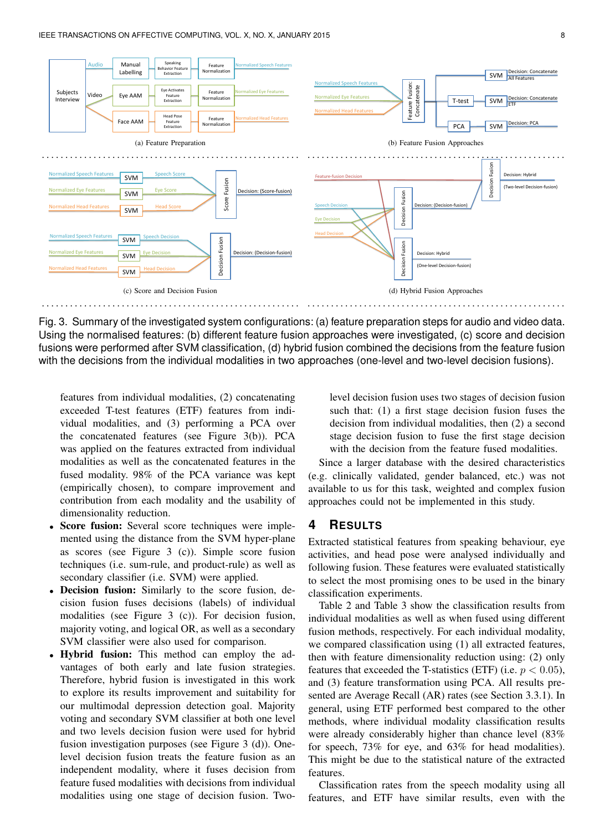

Using the normalised features: (b) different feature fusion approaches were investigated, (c) score and decision Fig. 3. Summary of the investigated system configurations: (a) feature preparation steps for audio and video data. fusions were performed after SVM classification, (d) hybrid fusion combined the decisions from the feature fusion with the decisions from the individual modalities in two approaches (one-level and two-level decision fusions).

features from individual modalities, (2) concatenating exceeded T-test features (ETF) features from individual modalities, and (3) performing a PCA over the concatenated features (see Figure 3(b)). PCA was applied on the features extracted from individual modalities as well as the concatenated features in the fused modality. 98% of the PCA variance was kept (empirically chosen), to compare improvement and contribution from each modality and the usability of dimensionality reduction.

- Score fusion: Several score techniques were implemented using the distance from the SVM hyper-plane as scores (see Figure 3 (c)). Simple score fusion techniques (i.e. sum-rule, and product-rule) as well as secondary classifier (i.e. SVM) were applied.
- **Decision fusion:** Similarly to the score fusion, decision fusion fuses decisions (labels) of individual modalities (see Figure 3 (c)). For decision fusion, majority voting, and logical OR, as well as a secondary SVM classifier were also used for comparison.
- Hybrid fusion: This method can employ the advantages of both early and late fusion strategies. Therefore, hybrid fusion is investigated in this work to explore its results improvement and suitability for our multimodal depression detection goal. Majority voting and secondary SVM classifier at both one level and two levels decision fusion were used for hybrid fusion investigation purposes (see Figure 3 (d)). Onelevel decision fusion treats the feature fusion as an independent modality, where it fuses decision from feature fused modalities with decisions from individual modalities using one stage of decision fusion. Two-

level decision fusion uses two stages of decision fusion such that: (1) a first stage decision fusion fuses the decision from individual modalities, then (2) a second stage decision fusion to fuse the first stage decision with the decision from the feature fused modalities.

Since a larger database with the desired characteristics (e.g. clinically validated, gender balanced, etc.) was not available to us for this task, weighted and complex fusion approaches could not be implemented in this study.

## **4 RESULTS**

Extracted statistical features from speaking behaviour, eye activities, and head pose were analysed individually and following fusion. These features were evaluated statistically to select the most promising ones to be used in the binary classification experiments.

Table 2 and Table 3 show the classification results from individual modalities as well as when fused using different fusion methods, respectively. For each individual modality, we compared classification using (1) all extracted features, then with feature dimensionality reduction using: (2) only features that exceeded the T-statistics (ETF) (i.e.  $p < 0.05$ ), and (3) feature transformation using PCA. All results presented are Average Recall (AR) rates (see Section 3.3.1). In general, using ETF performed best compared to the other methods, where individual modality classification results were already considerably higher than chance level (83% for speech, 73% for eye, and 63% for head modalities). This might be due to the statistical nature of the extracted features.

Classification rates from the speech modality using all features, and ETF have similar results, even with the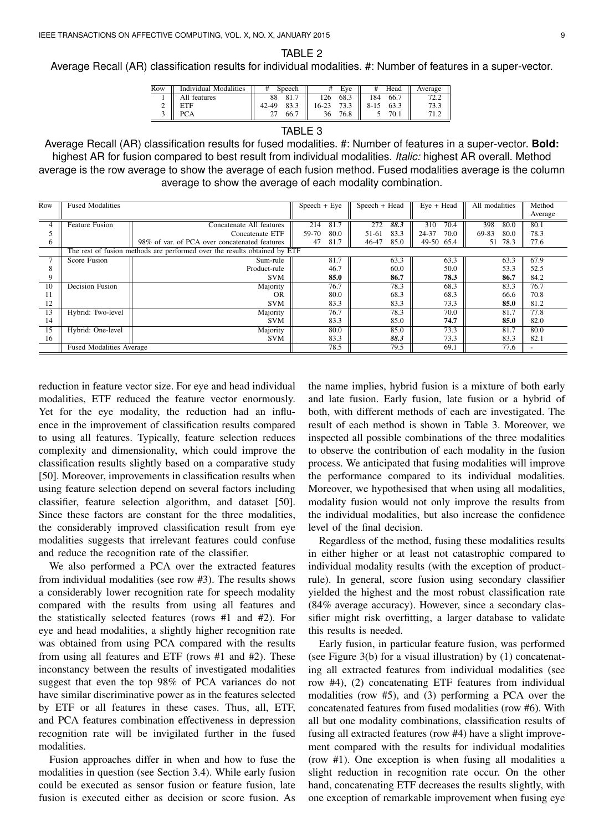TABLE 2

Average Recall (AR) classification results for individual modalities. #: Number of features in a super-vector.

| Row | Individual Modalities | #  | Speech | ₩     | Eve  |      | Head | Average |
|-----|-----------------------|----|--------|-------|------|------|------|---------|
|     | All features          | 88 | 81.    |       | 68.3 | .84  | 66.  | 2.2     |
| ∼   | FTF                   |    | 022    | 16-23 | 73.3 | 8-15 |      | 73.3    |
|     | ግጣ ላ                  |    | 66.7   | 36    | 76.8 |      | 70.1 | 71.2    |

#### TABLE 3

Average Recall (AR) classification results for fused modalities. #: Number of features in a super-vector. **Bold:** highest AR for fusion compared to best result from individual modalities. *Italic:* highest AR overall. Method average is the row average to show the average of each fusion method. Fused modalities average is the column average to show the average of each modality combination.

| Row             | <b>Fused Modalities</b>                                                   |                                               | $Speech + Eve$ | Speech + Head | $Eye + Head$  | All modalities | Method  |  |  |
|-----------------|---------------------------------------------------------------------------|-----------------------------------------------|----------------|---------------|---------------|----------------|---------|--|--|
|                 |                                                                           |                                               |                |               |               |                | Average |  |  |
| 4               | <b>Feature Fusion</b>                                                     | Concatenate All features                      | 81.7<br>214    | 88.3<br>272   | 310<br>70.4   | 398<br>80.0    | 80.1    |  |  |
|                 |                                                                           | Concatenate ETF                               | 80.0<br>59-70  | 83.3<br>51-61 | 70.0<br>24-37 | 69-83<br>80.0  | 78.3    |  |  |
| 6               |                                                                           | 98% of var. of PCA over concatenated features | 47<br>81.7     | 46-47<br>85.0 | 49-50 65.4    | 78.3<br>51     | 77.6    |  |  |
|                 | The rest of fusion methods are performed over the results obtained by ETF |                                               |                |               |               |                |         |  |  |
|                 | Score Fusion                                                              | Sum-rule                                      | 81.7           | 63.3          | 63.3          | 63.3           | 67.9    |  |  |
| 8               |                                                                           | Product-rule                                  | 46.7           | 60.0          | 50.0          | 53.3           | 52.5    |  |  |
| 9               |                                                                           | <b>SVM</b>                                    | 85.0           | 86.7          | 78.3          | 86.7           | 84.2    |  |  |
| $\overline{10}$ | <b>Decision Fusion</b>                                                    | Majority                                      | 76.7           | 78.3          | 68.3          | 83.3           | 76.7    |  |  |
| 11              |                                                                           | <b>OR</b>                                     | 80.0           | 68.3          | 68.3          | 66.6           | 70.8    |  |  |
| 12              |                                                                           | <b>SVM</b>                                    | 83.3           | 83.3          | 73.3          | 85.0           | 81.2    |  |  |
| 13              | Hybrid: Two-level                                                         | Majority                                      | 76.7           | 78.3          | 70.0          | 81.7           | 77.8    |  |  |
| 14              |                                                                           | <b>SVM</b>                                    | 83.3           | 85.0          | 74.7          | 85.0           | 82.0    |  |  |
| 15              | Hybrid: One-level                                                         | Majority                                      | 80.0           | 85.0          | 73.3          | 81.7           | 80.0    |  |  |
| 16              |                                                                           | <b>SVM</b>                                    | 83.3           | 88.3          | 73.3          | 83.3           | 82.1    |  |  |
|                 | <b>Fused Modalities Average</b>                                           |                                               |                | 79.5          | 69.1          | 77.6           |         |  |  |

reduction in feature vector size. For eye and head individual modalities, ETF reduced the feature vector enormously. Yet for the eye modality, the reduction had an influence in the improvement of classification results compared to using all features. Typically, feature selection reduces complexity and dimensionality, which could improve the classification results slightly based on a comparative study [50]. Moreover, improvements in classification results when using feature selection depend on several factors including classifier, feature selection algorithm, and dataset [50]. Since these factors are constant for the three modalities, the considerably improved classification result from eye modalities suggests that irrelevant features could confuse and reduce the recognition rate of the classifier.

We also performed a PCA over the extracted features from individual modalities (see row #3). The results shows a considerably lower recognition rate for speech modality compared with the results from using all features and the statistically selected features (rows #1 and #2). For eye and head modalities, a slightly higher recognition rate was obtained from using PCA compared with the results from using all features and ETF (rows #1 and #2). These inconstancy between the results of investigated modalities suggest that even the top 98% of PCA variances do not have similar discriminative power as in the features selected by ETF or all features in these cases. Thus, all, ETF, and PCA features combination effectiveness in depression recognition rate will be invigilated further in the fused modalities.

Fusion approaches differ in when and how to fuse the modalities in question (see Section 3.4). While early fusion could be executed as sensor fusion or feature fusion, late fusion is executed either as decision or score fusion. As

the name implies, hybrid fusion is a mixture of both early and late fusion. Early fusion, late fusion or a hybrid of both, with different methods of each are investigated. The result of each method is shown in Table 3. Moreover, we inspected all possible combinations of the three modalities to observe the contribution of each modality in the fusion process. We anticipated that fusing modalities will improve the performance compared to its individual modalities. Moreover, we hypothesised that when using all modalities, modality fusion would not only improve the results from the individual modalities, but also increase the confidence level of the final decision.

Regardless of the method, fusing these modalities results in either higher or at least not catastrophic compared to individual modality results (with the exception of productrule). In general, score fusion using secondary classifier yielded the highest and the most robust classification rate (84% average accuracy). However, since a secondary classifier might risk overfitting, a larger database to validate this results is needed.

Early fusion, in particular feature fusion, was performed (see Figure 3(b) for a visual illustration) by (1) concatenating all extracted features from individual modalities (see row #4), (2) concatenating ETF features from individual modalities (row #5), and (3) performing a PCA over the concatenated features from fused modalities (row #6). With all but one modality combinations, classification results of fusing all extracted features (row #4) have a slight improvement compared with the results for individual modalities (row #1). One exception is when fusing all modalities a slight reduction in recognition rate occur. On the other hand, concatenating ETF decreases the results slightly, with one exception of remarkable improvement when fusing eye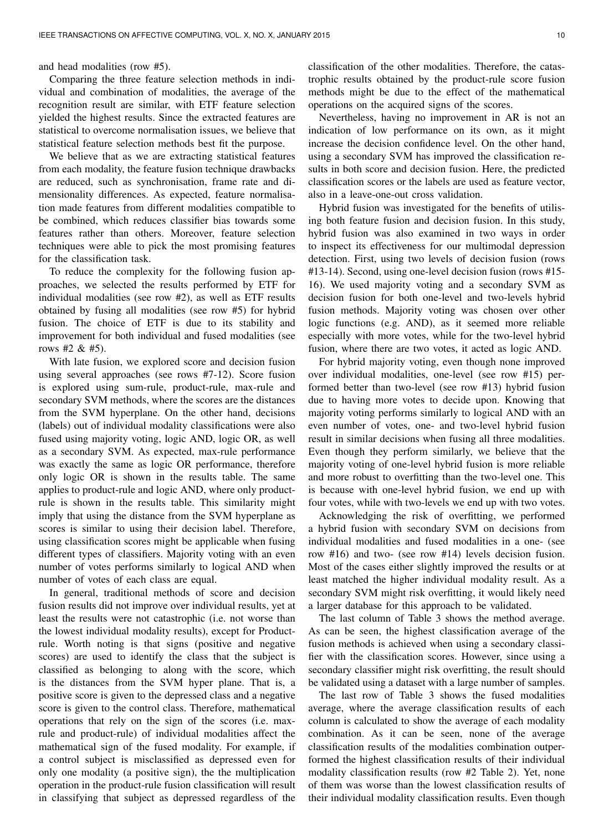and head modalities (row #5).

Comparing the three feature selection methods in individual and combination of modalities, the average of the recognition result are similar, with ETF feature selection yielded the highest results. Since the extracted features are statistical to overcome normalisation issues, we believe that statistical feature selection methods best fit the purpose.

We believe that as we are extracting statistical features from each modality, the feature fusion technique drawbacks are reduced, such as synchronisation, frame rate and dimensionality differences. As expected, feature normalisation made features from different modalities compatible to be combined, which reduces classifier bias towards some features rather than others. Moreover, feature selection techniques were able to pick the most promising features for the classification task.

To reduce the complexity for the following fusion approaches, we selected the results performed by ETF for individual modalities (see row #2), as well as ETF results obtained by fusing all modalities (see row #5) for hybrid fusion. The choice of ETF is due to its stability and improvement for both individual and fused modalities (see rows #2 & #5).

With late fusion, we explored score and decision fusion using several approaches (see rows #7-12). Score fusion is explored using sum-rule, product-rule, max-rule and secondary SVM methods, where the scores are the distances from the SVM hyperplane. On the other hand, decisions (labels) out of individual modality classifications were also fused using majority voting, logic AND, logic OR, as well as a secondary SVM. As expected, max-rule performance was exactly the same as logic OR performance, therefore only logic OR is shown in the results table. The same applies to product-rule and logic AND, where only productrule is shown in the results table. This similarity might imply that using the distance from the SVM hyperplane as scores is similar to using their decision label. Therefore, using classification scores might be applicable when fusing different types of classifiers. Majority voting with an even number of votes performs similarly to logical AND when number of votes of each class are equal.

In general, traditional methods of score and decision fusion results did not improve over individual results, yet at least the results were not catastrophic (i.e. not worse than the lowest individual modality results), except for Productrule. Worth noting is that signs (positive and negative scores) are used to identify the class that the subject is classified as belonging to along with the score, which is the distances from the SVM hyper plane. That is, a positive score is given to the depressed class and a negative score is given to the control class. Therefore, mathematical operations that rely on the sign of the scores (i.e. maxrule and product-rule) of individual modalities affect the mathematical sign of the fused modality. For example, if a control subject is misclassified as depressed even for only one modality (a positive sign), the the multiplication operation in the product-rule fusion classification will result in classifying that subject as depressed regardless of the

classification of the other modalities. Therefore, the catastrophic results obtained by the product-rule score fusion methods might be due to the effect of the mathematical operations on the acquired signs of the scores.

Nevertheless, having no improvement in AR is not an indication of low performance on its own, as it might increase the decision confidence level. On the other hand, using a secondary SVM has improved the classification results in both score and decision fusion. Here, the predicted classification scores or the labels are used as feature vector, also in a leave-one-out cross validation.

Hybrid fusion was investigated for the benefits of utilising both feature fusion and decision fusion. In this study, hybrid fusion was also examined in two ways in order to inspect its effectiveness for our multimodal depression detection. First, using two levels of decision fusion (rows #13-14). Second, using one-level decision fusion (rows #15- 16). We used majority voting and a secondary SVM as decision fusion for both one-level and two-levels hybrid fusion methods. Majority voting was chosen over other logic functions (e.g. AND), as it seemed more reliable especially with more votes, while for the two-level hybrid fusion, where there are two votes, it acted as logic AND.

For hybrid majority voting, even though none improved over individual modalities, one-level (see row #15) performed better than two-level (see row #13) hybrid fusion due to having more votes to decide upon. Knowing that majority voting performs similarly to logical AND with an even number of votes, one- and two-level hybrid fusion result in similar decisions when fusing all three modalities. Even though they perform similarly, we believe that the majority voting of one-level hybrid fusion is more reliable and more robust to overfitting than the two-level one. This is because with one-level hybrid fusion, we end up with four votes, while with two-levels we end up with two votes.

Acknowledging the risk of overfitting, we performed a hybrid fusion with secondary SVM on decisions from individual modalities and fused modalities in a one- (see row #16) and two- (see row #14) levels decision fusion. Most of the cases either slightly improved the results or at least matched the higher individual modality result. As a secondary SVM might risk overfitting, it would likely need a larger database for this approach to be validated.

The last column of Table 3 shows the method average. As can be seen, the highest classification average of the fusion methods is achieved when using a secondary classifier with the classification scores. However, since using a secondary classifier might risk overfitting, the result should be validated using a dataset with a large number of samples.

The last row of Table 3 shows the fused modalities average, where the average classification results of each column is calculated to show the average of each modality combination. As it can be seen, none of the average classification results of the modalities combination outperformed the highest classification results of their individual modality classification results (row #2 Table 2). Yet, none of them was worse than the lowest classification results of their individual modality classification results. Even though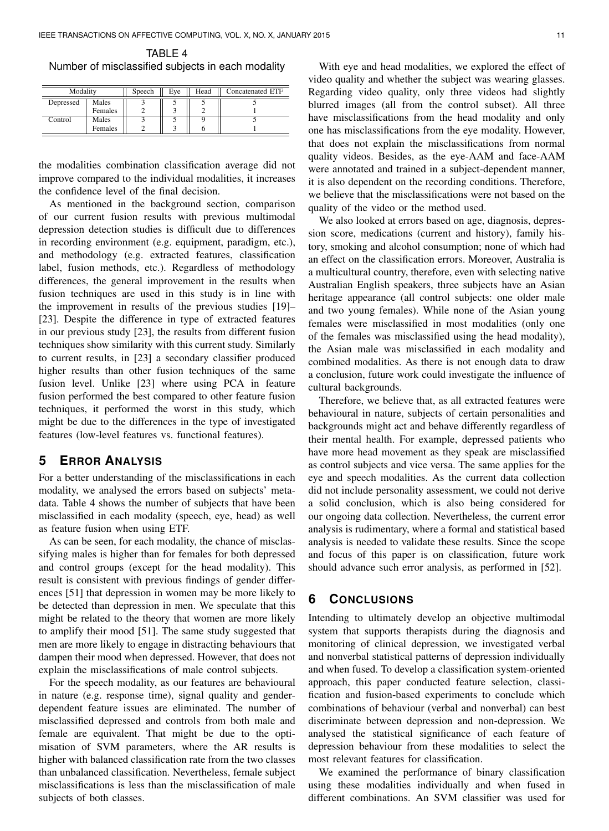| TABLE 4                                           |  |
|---------------------------------------------------|--|
| Number of misclassified subjects in each modality |  |

| Modality  |         | Speech | Eve | Head | Concatenated ETF |
|-----------|---------|--------|-----|------|------------------|
| Depressed | Males   |        |     |      |                  |
|           | Females |        |     |      |                  |
| Control   | Males   |        |     |      |                  |
|           | Females |        |     |      |                  |

the modalities combination classification average did not improve compared to the individual modalities, it increases the confidence level of the final decision.

As mentioned in the background section, comparison of our current fusion results with previous multimodal depression detection studies is difficult due to differences in recording environment (e.g. equipment, paradigm, etc.), and methodology (e.g. extracted features, classification label, fusion methods, etc.). Regardless of methodology differences, the general improvement in the results when fusion techniques are used in this study is in line with the improvement in results of the previous studies [19]– [23]. Despite the difference in type of extracted features in our previous study [23], the results from different fusion techniques show similarity with this current study. Similarly to current results, in [23] a secondary classifier produced higher results than other fusion techniques of the same fusion level. Unlike [23] where using PCA in feature fusion performed the best compared to other feature fusion techniques, it performed the worst in this study, which might be due to the differences in the type of investigated features (low-level features vs. functional features).

# **5 ERROR ANALYSIS**

For a better understanding of the misclassifications in each modality, we analysed the errors based on subjects' metadata. Table 4 shows the number of subjects that have been misclassified in each modality (speech, eye, head) as well as feature fusion when using ETF.

As can be seen, for each modality, the chance of misclassifying males is higher than for females for both depressed and control groups (except for the head modality). This result is consistent with previous findings of gender differences [51] that depression in women may be more likely to be detected than depression in men. We speculate that this might be related to the theory that women are more likely to amplify their mood [51]. The same study suggested that men are more likely to engage in distracting behaviours that dampen their mood when depressed. However, that does not explain the misclassifications of male control subjects.

For the speech modality, as our features are behavioural in nature (e.g. response time), signal quality and genderdependent feature issues are eliminated. The number of misclassified depressed and controls from both male and female are equivalent. That might be due to the optimisation of SVM parameters, where the AR results is higher with balanced classification rate from the two classes than unbalanced classification. Nevertheless, female subject misclassifications is less than the misclassification of male subjects of both classes.

With eye and head modalities, we explored the effect of video quality and whether the subject was wearing glasses. Regarding video quality, only three videos had slightly blurred images (all from the control subset). All three have misclassifications from the head modality and only one has misclassifications from the eye modality. However, that does not explain the misclassifications from normal quality videos. Besides, as the eye-AAM and face-AAM were annotated and trained in a subject-dependent manner, it is also dependent on the recording conditions. Therefore, we believe that the misclassifications were not based on the quality of the video or the method used.

We also looked at errors based on age, diagnosis, depression score, medications (current and history), family history, smoking and alcohol consumption; none of which had an effect on the classification errors. Moreover, Australia is a multicultural country, therefore, even with selecting native Australian English speakers, three subjects have an Asian heritage appearance (all control subjects: one older male and two young females). While none of the Asian young females were misclassified in most modalities (only one of the females was misclassified using the head modality), the Asian male was misclassified in each modality and combined modalities. As there is not enough data to draw a conclusion, future work could investigate the influence of cultural backgrounds.

Therefore, we believe that, as all extracted features were behavioural in nature, subjects of certain personalities and backgrounds might act and behave differently regardless of their mental health. For example, depressed patients who have more head movement as they speak are misclassified as control subjects and vice versa. The same applies for the eye and speech modalities. As the current data collection did not include personality assessment, we could not derive a solid conclusion, which is also being considered for our ongoing data collection. Nevertheless, the current error analysis is rudimentary, where a formal and statistical based analysis is needed to validate these results. Since the scope and focus of this paper is on classification, future work should advance such error analysis, as performed in [52].

## **6 CONCLUSIONS**

Intending to ultimately develop an objective multimodal system that supports therapists during the diagnosis and monitoring of clinical depression, we investigated verbal and nonverbal statistical patterns of depression individually and when fused. To develop a classification system-oriented approach, this paper conducted feature selection, classification and fusion-based experiments to conclude which combinations of behaviour (verbal and nonverbal) can best discriminate between depression and non-depression. We analysed the statistical significance of each feature of depression behaviour from these modalities to select the most relevant features for classification.

We examined the performance of binary classification using these modalities individually and when fused in different combinations. An SVM classifier was used for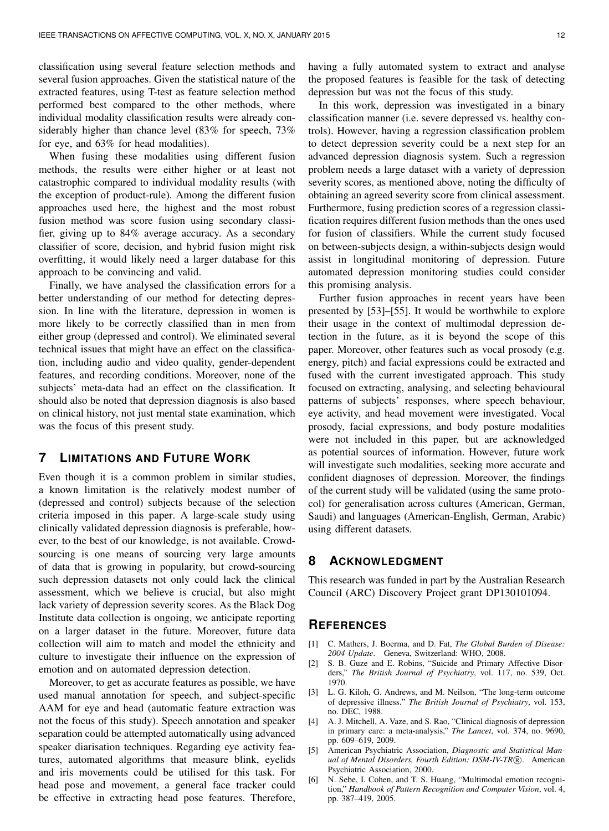classification using several feature selection methods and several fusion approaches. Given the statistical nature of the extracted features, using T-test as feature selection method performed best compared to the other methods, where individual modality classification results were already considerably higher than chance level (83% for speech, 73% for eye, and 63% for head modalities).

When fusing these modalities using different fusion methods, the results were either higher or at least not catastrophic compared to individual modality results (with the exception of product-rule). Among the different fusion approaches used here, the highest and the most robust fusion method was score fusion using secondary classifier, giving up to 84% average accuracy. As a secondary classifier of score, decision, and hybrid fusion might risk overfitting, it would likely need a larger database for this approach to be convincing and valid.

Finally, we have analysed the classification errors for a better understanding of our method for detecting depression. In line with the literature, depression in women is more likely to be correctly classified than in men from either group (depressed and control). We eliminated several technical issues that might have an effect on the classification, including audio and video quality, gender-dependent features, and recording conditions. Moreover, none of the subjects' meta-data had an effect on the classification. It should also be noted that depression diagnosis is also based on clinical history, not just mental state examination, which was the focus of this present study.

## **7 LIMITATIONS AND FUTURE WORK**

Even though it is a common problem in similar studies, a known limitation is the relatively modest number of (depressed and control) subjects because of the selection criteria imposed in this paper. A large-scale study using clinically validated depression diagnosis is preferable, however, to the best of our knowledge, is not available. Crowdsourcing is one means of sourcing very large amounts of data that is growing in popularity, but crowd-sourcing such depression datasets not only could lack the clinical assessment, which we believe is crucial, but also might lack variety of depression severity scores. As the Black Dog Institute data collection is ongoing, we anticipate reporting on a larger dataset in the future. Moreover, future data collection will aim to match and model the ethnicity and culture to investigate their influence on the expression of emotion and on automated depression detection.

Moreover, to get as accurate features as possible, we have used manual annotation for speech, and subject-specific AAM for eye and head (automatic feature extraction was not the focus of this study). Speech annotation and speaker separation could be attempted automatically using advanced speaker diarisation techniques. Regarding eye activity features, automated algorithms that measure blink, eyelids and iris movements could be utilised for this task. For head pose and movement, a general face tracker could be effective in extracting head pose features. Therefore,

having a fully automated system to extract and analyse the proposed features is feasible for the task of detecting depression but was not the focus of this study.

In this work, depression was investigated in a binary classification manner (i.e. severe depressed vs. healthy controls). However, having a regression classification problem to detect depression severity could be a next step for an advanced depression diagnosis system. Such a regression problem needs a large dataset with a variety of depression severity scores, as mentioned above, noting the difficulty of obtaining an agreed severity score from clinical assessment. Furthermore, fusing prediction scores of a regression classification requires different fusion methods than the ones used for fusion of classifiers. While the current study focused on between-subjects design, a within-subjects design would assist in longitudinal monitoring of depression. Future automated depression monitoring studies could consider this promising analysis.

Further fusion approaches in recent years have been presented by [53]–[55]. It would be worthwhile to explore their usage in the context of multimodal depression detection in the future, as it is beyond the scope of this paper. Moreover, other features such as vocal prosody (e.g. energy, pitch) and facial expressions could be extracted and fused with the current investigated approach. This study focused on extracting, analysing, and selecting behavioural patterns of subjects' responses, where speech behaviour, eye activity, and head movement were investigated. Vocal prosody, facial expressions, and body posture modalities were not included in this paper, but are acknowledged as potential sources of information. However, future work will investigate such modalities, seeking more accurate and confident diagnoses of depression. Moreover, the findings of the current study will be validated (using the same protocol) for generalisation across cultures (American, German, Saudi) and languages (American-English, German, Arabic) using different datasets.

## **8 ACKNOWLEDGMENT**

This research was funded in part by the Australian Research Council (ARC) Discovery Project grant DP130101094.

## **REFERENCES**

- [1] C. Mathers, J. Boerma, and D. Fat, *The Global Burden of Disease: 2004 Update*. Geneva, Switzerland: WHO, 2008.
- [2] S. B. Guze and E. Robins, "Suicide and Primary Affective Disorders," *The British Journal of Psychiatry*, vol. 117, no. 539, Oct. 1970.
- [3] L. G. Kiloh, G. Andrews, and M. Neilson, "The long-term outcome of depressive illness." *The British Journal of Psychiatry*, vol. 153, no. DEC, 1988.
- [4] A. J. Mitchell, A. Vaze, and S. Rao, "Clinical diagnosis of depression in primary care: a meta-analysis," *The Lancet*, vol. 374, no. 9690, pp. 609–619, 2009.
- [5] American Psychiatric Association, *Diagnostic and Statistical Man*ual of Mental Disorders, Fourth Edition: DSM-IV-TR®. American Psychiatric Association, 2000.
- [6] N. Sebe, I. Cohen, and T. S. Huang, "Multimodal emotion recognition," *Handbook of Pattern Recognition and Computer Vision*, vol. 4, pp. 387–419, 2005.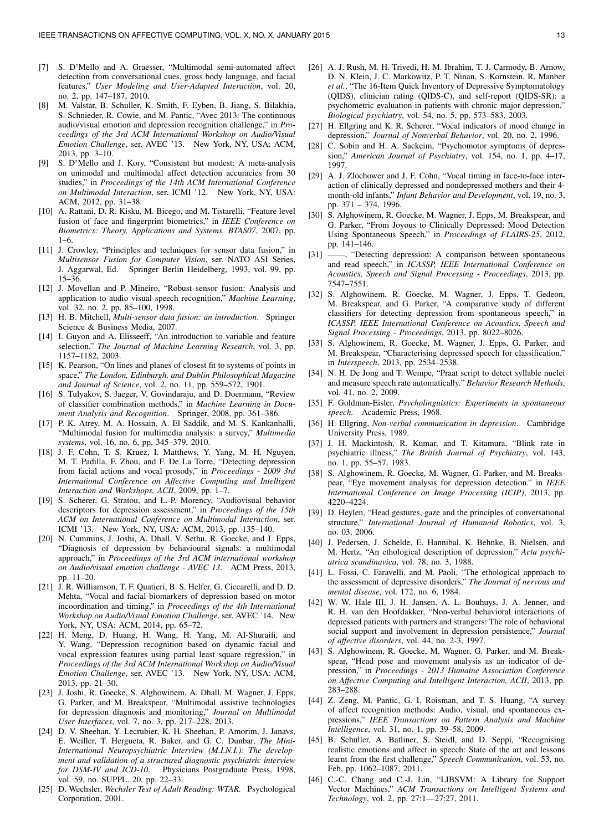- [7] S. D'Mello and A. Graesser, "Multimodal semi-automated affect detection from conversational cues, gross body language, and facial features," *User Modeling and User-Adapted Interaction*, vol. 20, no. 2, pp. 147–187, 2010.
- [8] M. Valstar, B. Schuller, K. Smith, F. Eyben, B. Jiang, S. Bilakhia, S. Schnieder, R. Cowie, and M. Pantic, "Avec 2013: The continuous audio/visual emotion and depression recognition challenge," in *Proceedings of the 3rd ACM International Workshop on Audio/Visual Emotion Challenge*, ser. AVEC '13. New York, NY, USA: ACM, 2013, pp. 3–10.
- [9] S. D'Mello and J. Kory, "Consistent but modest: A meta-analysis on unimodal and multimodal affect detection accuracies from 30 studies," in *Proceedings of the 14th ACM International Conference on Multimodal Interaction*, ser. ICMI '12. New York, NY, USA: ACM, 2012, pp. 31–38.
- [10] A. Rattani, D. R. Kisku, M. Bicego, and M. Tistarelli, "Feature level fusion of face and fingerprint biometrics," in *IEEE Conference on Biometrics: Theory, Applications and Systems, BTAS07*, 2007, pp. 1–6.
- [11] J. Crowley, "Principles and techniques for sensor data fusion," in *Multisensor Fusion for Computer Vision*, ser. NATO ASI Series, J. Aggarwal, Ed. Springer Berlin Heidelberg, 1993, vol. 99, pp. 15–36.
- [12] J. Movellan and P. Mineiro, "Robust sensor fusion: Analysis and application to audio visual speech recognition," *Machine Learning*, vol. 32, no. 2, pp. 85–100, 1998.
- [13] H. B. Mitchell, *Multi-sensor data fusion: an introduction*. Springer Science & Business Media, 2007.
- [14] I. Guyon and A. Elisseeff, "An introduction to variable and feature selection," *The Journal of Machine Learning Research*, vol. 3, pp. 1157–1182, 2003.
- [15] K. Pearson, "On lines and planes of closest fit to systems of points in space," *The London, Edinburgh, and Dublin Philosophical Magazine and Journal of Science*, vol. 2, no. 11, pp. 559–572, 1901.
- [16] S. Tulyakov, S. Jaeger, V. Govindaraju, and D. Doermann, "Review of classifier combination methods," in *Machine Learning in Document Analysis and Recognition*. Springer, 2008, pp. 361–386.
- [17] P. K. Atrey, M. A. Hossain, A. El Saddik, and M. S. Kankanhalli, "Multimodal fusion for multimedia analysis: a survey," *Multimedia systems*, vol. 16, no. 6, pp. 345–379, 2010.
- [18] J. F. Cohn, T. S. Kruez, I. Matthews, Y. Yang, M. H. Nguyen, M. T. Padilla, F. Zhou, and F. De La Torre, "Detecting depression from facial actions and vocal prosody," in *Proceedings - 2009 3rd International Conference on Affective Computing and Intelligent Interaction and Workshops, ACII*, 2009, pp. 1–7.
- [19] S. Scherer, G. Stratou, and L.-P. Morency, "Audiovisual behavior descriptors for depression assessment," in *Proceedings of the 15th ACM on International Conference on Multimodal Interaction*, ser. ICMI '13. New York, NY, USA: ACM, 2013, pp. 135–140.
- [20] N. Cummins, J. Joshi, A. Dhall, V. Sethu, R. Goecke, and J. Epps, "Diagnosis of depression by behavioural signals: a multimodal approach," in *Proceedings of the 3rd ACM international workshop on Audio/visual emotion challenge - AVEC 13*. ACM Press, 2013, pp. 11–20.
- [21] J. R. Williamson, T. F. Quatieri, B. S. Helfer, G. Ciccarelli, and D. D. Mehta, "Vocal and facial biomarkers of depression based on motor incoordination and timing," in *Proceedings of the 4th International Workshop on Audio/Visual Emotion Challenge*, ser. AVEC '14. New York, NY, USA: ACM, 2014, pp. 65–72.
- [22] H. Meng, D. Huang, H. Wang, H. Yang, M. AI-Shuraifi, and Y. Wang, "Depression recognition based on dynamic facial and vocal expression features using partial least square regression," in *Proceedings of the 3rd ACM International Workshop on Audio/Visual Emotion Challenge*, ser. AVEC '13. New York, NY, USA: ACM, 2013, pp. 21–30.
- [23] J. Joshi, R. Goecke, S. Alghowinem, A. Dhall, M. Wagner, J. Epps, G. Parker, and M. Breakspear, "Multimodal assistive technologies for depression diagnosis and monitoring," *Journal on Multimodal User Interfaces*, vol. 7, no. 3, pp. 217–228, 2013.
- [24] D. V. Sheehan, Y. Lecrubier, K. H. Sheehan, P. Amorim, J. Janavs, E. Weiller, T. Hergueta, R. Baker, and G. C. Dunbar, *The Mini-International Neuropsychiatric Interview (M.I.N.I.): The development and validation of a structured diagnostic psychiatric interview for DSM-IV and ICD-10*. Physicians Postgraduate Press, 1998, vol. 59, no. SUPPL. 20, pp. 22–33.
- [25] D. Wechsler, *Wechsler Test of Adult Reading: WTAR.* Psychological Corporation, 2001.
- [26] A. J. Rush, M. H. Trivedi, H. M. Ibrahim, T. J. Carmody, B. Arnow, D. N. Klein, J. C. Markowitz, P. T. Ninan, S. Kornstein, R. Manber *et al.*, "The 16-Item Quick Inventory of Depressive Symptomatology (QIDS), clinician rating (QIDS-C), and self-report (QIDS-SR): a psychometric evaluation in patients with chronic major depression," *Biological psychiatry*, vol. 54, no. 5, pp. 573–583, 2003.
- [27] H. Ellgring and K. R. Scherer, "Vocal indicators of mood change in depression," *Journal of Nonverbal Behavior*, vol. 20, no. 2, 1996.
- [28] C. Sobin and H. A. Sackeim, "Psychomotor symptoms of depression," *American Journal of Psychiatry*, vol. 154, no. 1, pp. 4–17, 1997.
- [29] A. J. Zlochower and J. F. Cohn, "Vocal timing in face-to-face interaction of clinically depressed and nondepressed mothers and their 4 month-old infants," *Infant Behavior and Development*, vol. 19, no. 3, pp. 371 – 374, 1996.
- [30] S. Alghowinem, R. Goecke, M. Wagner, J. Epps, M. Breakspear, and G. Parker, "From Joyous to Clinically Depressed: Mood Detection Using Spontaneous Speech," in *Proceedings of FLAIRS-25*, 2012, pp. 141–146.
- [31] -, "Detecting depression: A comparison between spontaneous and read speech," in *ICASSP, IEEE International Conference on Acoustics, Speech and Signal Processing - Proceedings*, 2013, pp. 7547–7551.
- [32] S. Alghowinem, R. Goecke, M. Wagner, J. Epps, T. Gedeon, M. Breakspear, and G. Parker, "A comparative study of different classifiers for detecting depression from spontaneous speech," in *ICASSP, IEEE International Conference on Acoustics, Speech and Signal Processing - Proceedings*, 2013, pp. 8022–8026.
- [33] S. Alghowinem, R. Goecke, M. Wagner, J. Epps, G. Parker, and M. Breakspear, "Characterising depressed speech for classification." in *Interspeech*, 2013, pp. 2534–2538.
- [34] N. H. De Jong and T. Wempe, "Praat script to detect syllable nuclei and measure speech rate automatically." *Behavior Research Methods*, vol. 41, no. 2, 2009.
- [35] F. Goldman-Eisler, *Psycholinguistics: Experiments in spontaneous speech*. Academic Press, 1968.
- [36] H. Ellgring, *Non-verbal communication in depression*. Cambridge University Press, 1989.
- [37] J. H. Mackintosh, R. Kumar, and T. Kitamura, "Blink rate in psychiatric illness," *The British Journal of Psychiatry*, vol. 143, no. 1, pp. 55–57, 1983.
- [38] S. Alghowinem, R. Goecke, M. Wagner, G. Parker, and M. Breakspear, "Eye movement analysis for depression detection." in *IEEE International Conference on Image Processing (ICIP)*, 2013, pp. 4220–4224.
- [39] D. Heylen, "Head gestures, gaze and the principles of conversational structure," *International Journal of Humanoid Robotics*, vol. 3, no. 03, 2006.
- [40] J. Pedersen, J. Schelde, E. Hannibal, K. Behnke, B. Nielsen, and M. Hertz, "An ethological description of depression," *Acta psychiatrica scandinavica*, vol. 78, no. 3, 1988.
- [41] L. Fossi, C. Faravelli, and M. Paoli, "The ethological approach to the assessment of depressive disorders," *The Journal of nervous and mental disease*, vol. 172, no. 6, 1984.
- [42] W. W. Hale III, J. H. Jansen, A. L. Bouhuys, J. A. Jenner, and R. H. van den Hoofdakker, "Non-verbal behavioral interactions of depressed patients with partners and strangers: The role of behavioral social support and involvement in depression persistence," *Journal of affective disorders*, vol. 44, no. 2-3, 1997.
- [43] S. Alghowinem, R. Goecke, M. Wagner, G. Parker, and M. Breakspear, "Head pose and movement analysis as an indicator of depression," in *Proceedings - 2013 Humaine Association Conference on Affective Computing and Intelligent Interaction, ACII*, 2013, pp. 283–288.
- [44] Z. Zeng, M. Pantic, G. I. Roisman, and T. S. Huang, "A survey of affect recognition methods: Audio, visual, and spontaneous expressions," *IEEE Transactions on Pattern Analysis and Machine Intelligence*, vol. 31, no. 1, pp. 39–58, 2009.
- [45] B. Schuller, A. Batliner, S. Steidl, and D. Seppi, "Recognising realistic emotions and affect in speech: State of the art and lessons learnt from the first challenge," *Speech Communication*, vol. 53, no. Feb, pp. 1062–1087, 2011.
- [46] C.-C. Chang and C.-J. Lin, "LIBSVM: A Library for Support Vector Machines," *ACM Transactions on Intelligent Systems and Technology*, vol. 2, pp. 27:1—27:27, 2011.